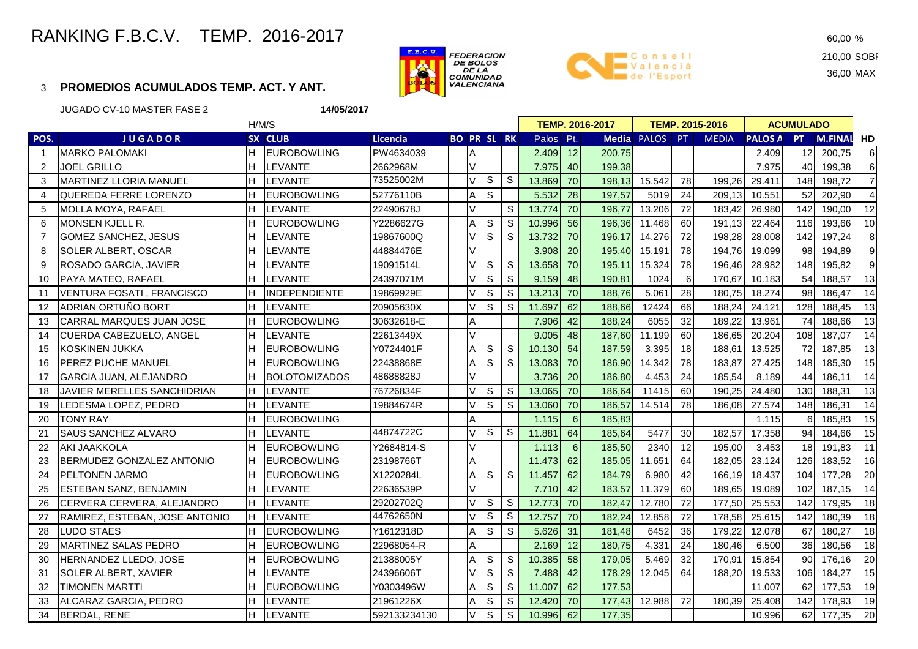# RANKING F.B.C.V. TEMP. 2016-2017

## 3 **PROMEDIOS ACUMULADOS TEMP. ACT. Y ANT.**





210,00 SOBI 36,00 MAX

JUGADO CV-10 MASTER FASE 2

**14/05/2017**

| POS.<br><b>JUGADOR</b><br>SX CLUB<br>Licencia<br><b>BO PR SL RK</b><br>Palos Pt.<br><b>Media PALOS</b><br>PT<br><b>MEDIA</b><br><b>PALOS A</b><br>PT.<br><b>M.FINAL HD</b><br>12<br><b>MARKO PALOMAKI</b><br><b>EUROBOWLING</b><br>PW4634039<br>Α<br>2.409<br>200,75<br>2.409<br>12<br>200.75<br>1<br>V<br>lн<br>40<br>199,38<br>$\overline{2}$<br><b>JOEL GRILLO</b><br><b>LEVANTE</b><br>2662968M<br>7.975<br>40<br>199,38<br>7.975<br>lS.<br>$\mathsf{S}$<br>73525002M<br>V<br>13.869<br>70<br>15.542<br>78<br>148<br>3<br><b>I</b> MARTINEZ LLORIA MANUEL<br>Iн<br><b>LEVANTE</b><br>198,13<br>199.26<br>29.411<br>198.72<br>S<br>Iн<br>24<br>QUEREDA FERRE LORENZO<br><b>EUROBOWLING</b><br>Α<br>5.532<br>28<br>197,57<br>5019<br>209,13<br>10.551<br>52<br>202,90<br>4<br>52776110B<br>V<br>S<br>70<br>72<br>142<br><b>LEVANTE</b><br>13.774<br>196,77<br>13.206<br>183,42<br>26.980<br>190,00<br>5<br><b>MOLLA MOYA, RAFAEL</b><br>22490678J<br>S<br>56<br>6<br><b>EUROBOWLING</b><br>S<br>10.996<br>196,36<br>60<br>191.13<br>22.464<br>193,66<br><b>MONSEN KJELL R.</b><br>Н<br>Y2286627G<br>A<br>11.468<br>116 | 6<br>6<br>$\overline{7}$<br>$\overline{4}$<br>12<br>10<br>8<br>9<br>9 |
|--------------------------------------------------------------------------------------------------------------------------------------------------------------------------------------------------------------------------------------------------------------------------------------------------------------------------------------------------------------------------------------------------------------------------------------------------------------------------------------------------------------------------------------------------------------------------------------------------------------------------------------------------------------------------------------------------------------------------------------------------------------------------------------------------------------------------------------------------------------------------------------------------------------------------------------------------------------------------------------------------------------------------------------------------------------------------------------------------------------------------|-----------------------------------------------------------------------|
|                                                                                                                                                                                                                                                                                                                                                                                                                                                                                                                                                                                                                                                                                                                                                                                                                                                                                                                                                                                                                                                                                                                          |                                                                       |
|                                                                                                                                                                                                                                                                                                                                                                                                                                                                                                                                                                                                                                                                                                                                                                                                                                                                                                                                                                                                                                                                                                                          |                                                                       |
|                                                                                                                                                                                                                                                                                                                                                                                                                                                                                                                                                                                                                                                                                                                                                                                                                                                                                                                                                                                                                                                                                                                          |                                                                       |
|                                                                                                                                                                                                                                                                                                                                                                                                                                                                                                                                                                                                                                                                                                                                                                                                                                                                                                                                                                                                                                                                                                                          |                                                                       |
|                                                                                                                                                                                                                                                                                                                                                                                                                                                                                                                                                                                                                                                                                                                                                                                                                                                                                                                                                                                                                                                                                                                          |                                                                       |
|                                                                                                                                                                                                                                                                                                                                                                                                                                                                                                                                                                                                                                                                                                                                                                                                                                                                                                                                                                                                                                                                                                                          |                                                                       |
|                                                                                                                                                                                                                                                                                                                                                                                                                                                                                                                                                                                                                                                                                                                                                                                                                                                                                                                                                                                                                                                                                                                          |                                                                       |
| S<br>S<br>70<br>72<br>$\overline{7}$<br><b>GOMEZ SANCHEZ, JESUS</b><br>LEVANTE<br>V<br>13.732<br>196.17<br>14.276<br>198.28<br>142<br>197,24<br>19867600Q<br>28,008                                                                                                                                                                                                                                                                                                                                                                                                                                                                                                                                                                                                                                                                                                                                                                                                                                                                                                                                                      |                                                                       |
| V<br>20<br>78<br>8<br>SOLER ALBERT, OSCAR<br><b>LEVANTE</b><br>44884476E<br>3.908<br>195,40<br>15.191<br>194,76<br>19.099<br>98<br>194,89                                                                                                                                                                                                                                                                                                                                                                                                                                                                                                                                                                                                                                                                                                                                                                                                                                                                                                                                                                                |                                                                       |
| 78<br>V<br>S<br><sub>S</sub><br>13.658<br>70<br>195,11<br>15.324<br>196,46<br>148<br>195,82<br>9<br>ROSADO GARCIA, JAVIER<br><b>LEVANTE</b><br>19091514L<br>28.982                                                                                                                                                                                                                                                                                                                                                                                                                                                                                                                                                                                                                                                                                                                                                                                                                                                                                                                                                       |                                                                       |
| $\vee$<br>ls<br>S<br>24397071M<br>1024<br>6<br>170,67<br>54<br>PAYA MATEO, RAFAEL<br><b>LEVANTE</b><br>9.159<br>48<br>190,81<br>10.183<br>188,57<br>10                                                                                                                                                                                                                                                                                                                                                                                                                                                                                                                                                                                                                                                                                                                                                                                                                                                                                                                                                                   | 13                                                                    |
| $\vee$<br>S<br>S<br>13.213<br>28<br>VENTURA FOSATI, FRANCISCO<br><b>INDEPENDIENTE</b><br>19869929E<br>70<br>188,76<br>5.061<br>180,75<br>18.274<br>98<br>186,47<br>11                                                                                                                                                                                                                                                                                                                                                                                                                                                                                                                                                                                                                                                                                                                                                                                                                                                                                                                                                    | 14                                                                    |
| ADRIAN ORTUÑO BORT<br>V<br>S<br>S<br>62<br><b>LEVANTE</b><br>11.697<br>12424<br>66<br>128<br>20905630X<br>188,66<br>188,24<br>24.121<br>188,45<br>12                                                                                                                                                                                                                                                                                                                                                                                                                                                                                                                                                                                                                                                                                                                                                                                                                                                                                                                                                                     | 13                                                                    |
| A<br>42<br>32<br>74<br><b>CARRAL MARQUES JUAN JOSE</b><br><b>EUROBOWLING</b><br>7.906<br>188,24<br>6055<br>189.22<br>188,66<br>13<br>30632618-E<br>13.961                                                                                                                                                                                                                                                                                                                                                                                                                                                                                                                                                                                                                                                                                                                                                                                                                                                                                                                                                                | 13                                                                    |
| V<br>48<br>н<br><b>LEVANTE</b><br>22613449X<br>9.005<br>187,60<br>11.199<br>60<br>186,65<br>20.204<br>108<br>187,07<br><b>CUERDA CABEZUELO, ANGEL</b><br>14                                                                                                                                                                                                                                                                                                                                                                                                                                                                                                                                                                                                                                                                                                                                                                                                                                                                                                                                                              | 14                                                                    |
| S<br>S<br>3.395<br>18<br><b>KOSKINEN JUKKA</b><br>н<br><b>EUROBOWLING</b><br>Y0724401F<br>A<br>10.130<br>54<br>187,59<br>188,61<br>13.525<br>72<br>187,85<br>15                                                                                                                                                                                                                                                                                                                                                                                                                                                                                                                                                                                                                                                                                                                                                                                                                                                                                                                                                          | 13                                                                    |
| S<br>S<br>14.342<br>78<br>148<br><b>PEREZ PUCHE MANUEL</b><br>IН<br><b>EUROBOWLING</b><br>22438868E<br>Α<br>13.083<br>70<br>186,90<br>183,87<br>27.425<br>185,30<br>16                                                                                                                                                                                                                                                                                                                                                                                                                                                                                                                                                                                                                                                                                                                                                                                                                                                                                                                                                   | 15                                                                    |
| $\vee$<br>Iн<br>48688828J<br>24<br>GARCIA JUAN, ALEJANDRO<br><b>BOLOTOMIZADOS</b><br>3.736<br>20<br>186,80<br>4.453<br>185,54<br>8.189<br>44<br>186,11<br>17                                                                                                                                                                                                                                                                                                                                                                                                                                                                                                                                                                                                                                                                                                                                                                                                                                                                                                                                                             | 14                                                                    |
| lн<br>V<br>S<br>S<br><b>LEVANTE</b><br>13.065<br>70<br>186,64<br>11415<br>60<br>190,25<br>24.480<br>130<br>188,31<br>18<br>JAVIER MERELLES SANCHIDRIAN<br>76726834F                                                                                                                                                                                                                                                                                                                                                                                                                                                                                                                                                                                                                                                                                                                                                                                                                                                                                                                                                      | 13                                                                    |
| S<br><sub>S</sub><br>70<br>78<br>V<br>186,57<br>14.514<br>186,08<br>148<br>186,31<br>19<br>LEDESMA LOPEZ, PEDRO<br>LEVANTE<br>19884674R<br>13.060<br>27.574                                                                                                                                                                                                                                                                                                                                                                                                                                                                                                                                                                                                                                                                                                                                                                                                                                                                                                                                                              | 14                                                                    |
| A<br>6<br>20<br><b>EUROBOWLING</b><br>185,83<br>185,83<br>TONY RAY<br>1.115<br>1.115                                                                                                                                                                                                                                                                                                                                                                                                                                                                                                                                                                                                                                                                                                                                                                                                                                                                                                                                                                                                                                     | 15                                                                    |
| S<br>$\mathbb S$<br>44874722C<br>V<br>64<br>30<br>94<br>21<br><b>SAUS SANCHEZ ALVARO</b><br><b>LEVANTE</b><br>11.881<br>185,64<br>5477<br>182.57<br>17.358<br>184,66                                                                                                                                                                                                                                                                                                                                                                                                                                                                                                                                                                                                                                                                                                                                                                                                                                                                                                                                                     | 15                                                                    |
| V<br>12<br><b>AKI JAAKKOLA</b><br>6<br>185,50<br>2340<br>195,00<br>18<br>22<br>н<br><b>EUROBOWLING</b><br>Y2684814-S<br>1.113<br>3.453<br>191,83                                                                                                                                                                                                                                                                                                                                                                                                                                                                                                                                                                                                                                                                                                                                                                                                                                                                                                                                                                         | 11                                                                    |
| BERMUDEZ GONZALEZ ANTONIO<br>Iн<br><b>EUROBOWLING</b><br>A<br>62<br>64<br>126<br>23198766T<br>11.473<br>185,05<br>11.651<br>182.05<br>23.124<br>183,52<br>23                                                                                                                                                                                                                                                                                                                                                                                                                                                                                                                                                                                                                                                                                                                                                                                                                                                                                                                                                             | 16                                                                    |
| A<br>S<br>S<br>62<br>42<br>177,28<br>24<br>PELTONEN JARMO<br>lн<br><b>EUROBOWLING</b><br>X1220284L<br>11.457<br>184,79<br>6.980<br>166,19<br>18.437<br>104                                                                                                                                                                                                                                                                                                                                                                                                                                                                                                                                                                                                                                                                                                                                                                                                                                                                                                                                                               | 20                                                                    |
| V<br>ESTEBAN SANZ, BENJAMIN<br>7.710<br>42<br>lн<br><b>LEVANTE</b><br>11.379<br>60<br>102<br>187,15<br>25<br>22636539P<br>183,57<br>189,65<br>19.089                                                                                                                                                                                                                                                                                                                                                                                                                                                                                                                                                                                                                                                                                                                                                                                                                                                                                                                                                                     | 14                                                                    |
| S<br>$\mathsf{S}$<br>29202702Q<br>70<br>V<br>12.773<br>72<br>CERVERA CERVERA, ALEJANDRO<br>н<br>182,47<br>12.780<br>177,50<br>25.553<br>142<br>179,95<br>26<br><b>LEVANTE</b>                                                                                                                                                                                                                                                                                                                                                                                                                                                                                                                                                                                                                                                                                                                                                                                                                                                                                                                                            | 18                                                                    |
| S<br>${\mathsf S}$<br>$\vee$<br>44762650N<br>12.757<br>70<br>72<br>RAMIREZ, ESTEBAN, JOSE ANTONIO<br>lн<br><b>LEVANTE</b><br>182,24<br>12.858<br>178,58<br>25.615<br>142<br>180,39<br>27                                                                                                                                                                                                                                                                                                                                                                                                                                                                                                                                                                                                                                                                                                                                                                                                                                                                                                                                 | 18                                                                    |
| S<br>S<br>5.626<br>36<br>28<br><b>LUDO STAES</b><br><b>EUROBOWLING</b><br>Y1612318D<br>A<br>31<br>181,48<br>6452<br>179,22<br>12.078<br>67<br>180,27                                                                                                                                                                                                                                                                                                                                                                                                                                                                                                                                                                                                                                                                                                                                                                                                                                                                                                                                                                     | 18                                                                    |
| A<br>12<br>4.331<br>24<br>36<br>29<br><b>MARTINEZ SALAS PEDRO</b><br>Iн<br><b>EUROBOWLING</b><br>2.169<br>180,75<br>180.46<br>6.500<br>180,56<br>22968054-R                                                                                                                                                                                                                                                                                                                                                                                                                                                                                                                                                                                                                                                                                                                                                                                                                                                                                                                                                              | 18                                                                    |
| $\mathsf S$<br>$\mathsf S$<br>58<br>32<br>HERNANDEZ LLEDO, JOSE<br>IН<br><b>EUROBOWLING</b><br>10.385<br>179,05<br>5.469<br>170,91<br>15.854<br>90<br>176,16<br>30<br>21388005Y<br>Α                                                                                                                                                                                                                                                                                                                                                                                                                                                                                                                                                                                                                                                                                                                                                                                                                                                                                                                                     | 20                                                                    |
| $\mathsf S$<br>$\mathsf S$<br>42<br>SOLER ALBERT, XAVIER<br>V<br>7.488<br>178,29<br>12.045<br>64<br>188,20<br>19.533<br>106<br>184,27<br>31<br>LEVANTE<br>24396606T                                                                                                                                                                                                                                                                                                                                                                                                                                                                                                                                                                                                                                                                                                                                                                                                                                                                                                                                                      | 15                                                                    |
| $\mathsf S$<br>62<br><b>EUROBOWLING</b><br>S<br>177,53<br>62<br>32<br>TIMONEN MARTTI<br>Y0303496W<br>A<br>11.007<br>11.007<br>177,53                                                                                                                                                                                                                                                                                                                                                                                                                                                                                                                                                                                                                                                                                                                                                                                                                                                                                                                                                                                     |                                                                       |
| $\mathbb S$<br>33<br>ALCARAZ GARCIA, PEDRO<br>LEVANTE<br>S<br>12.420<br>70<br>177,43<br>12.988<br>72<br>180,39<br>142<br>178,93<br>21961226X<br>A<br>25.408                                                                                                                                                                                                                                                                                                                                                                                                                                                                                                                                                                                                                                                                                                                                                                                                                                                                                                                                                              | 19                                                                    |
| V<br>ls<br><b>LEVANTE</b><br>S<br>10.996<br>62<br>34<br><b>BERDAL, RENE</b><br>592133234130<br>177,35<br>10.996<br>62<br>177,35                                                                                                                                                                                                                                                                                                                                                                                                                                                                                                                                                                                                                                                                                                                                                                                                                                                                                                                                                                                          | 19                                                                    |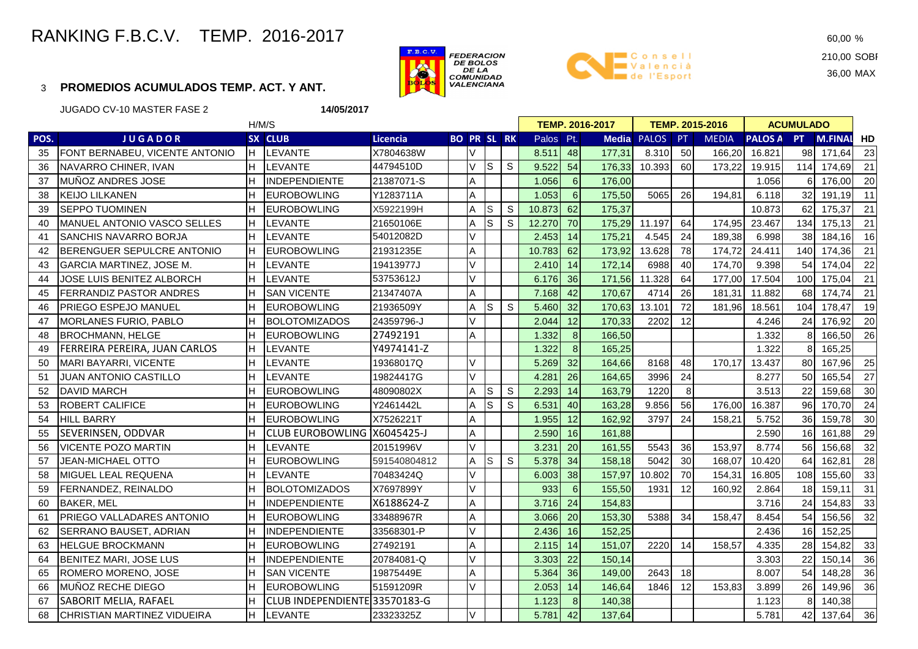## RANKING F.B.C.V. TEMP. 2016-2017

#### 3**PROMEDIOS ACUMULADOS TEMP. ACT. Y ANT.**





210,00 SOBI 36,00 MAX

JUGADO CV-10 MASTER FASE 2 **14/05/2017** H/M/SSX CLUB **POS. J U G A D O R SX CLUB Licencia BO PR SL RKBO PR SL RK Palos Pt. Media PALOS PT MEDIA**<br>V | | 8.511 48 177.31 8.310 50 166.2 **PALOS A** PT **PT M.FINAL HD TEMP. 2016-2017 TEMP. 2015-2016 ACUMULADO**35 FONT BERNABEU, VICENTE ANTONIO HI LEVANTE X7804638W H V H B 8.511 48 177,31 8.310 50 166.20 16.821 98 171,64 23  $21$ 36 NAVARRO CHINER, IVAN HILEVANTE LEVANTE 44794510D<br>IINDEPENDIENTE 21387071-S VV S S <mark>9.522 54 176,33</mark> 10.393 60 173,22 19.915 114 174,69 21 <sup>37</sup> MUÑOZ ANDRES JOSE <sup>H</sup> INDEPENDIENTE 21387071-S <sup>A</sup> 1.056 <sup>6</sup> 176,00 1.056 <sup>6</sup> 176,00 <sup>20</sup> $11$ 38 |KEIJO LILKANEN |H |EUROBOWLING |Y1283711A | |A | | | 1.053| 6| 175,50| 5065| 26| 194,81| 6.118| 32| 191,19| 11  $21$ 39 SEPPO TUOMINEN H EUROBOWLING X5922199H<br>21650106E A**A** SS S <mark>10.873 62 175,37</mark> 1 10.873 62 175,37 21 40 MANUEL ANTONIO VASCO SELLES H LEVANTE 21650106E A S S 12.270 70 175,29 11.197 64 174,95 23.467 134 175,13 <sup>21</sup>16 41 SANCHIS NAVARRO BORJA H LEVANTE 54012082D <sup>V</sup> 2.453 <sup>14</sup> 175,21 4.545 <sup>24</sup> 189,38 6.998 <sup>38</sup> 184,16 <sup>16</sup> 42 BERENGUER SEPULCRE ANTONIO H LEUROBOWLING 21931235E L A L L 10.783 62 173.92 13.628 78 174.72 24.411 140 174.36 21 22 43 GARCIA MARTINEZ, JOSE M. H LEVANTE 19413977J V 2.410 <sup>14</sup><mark>4 172,14</mark> 6988 40 174,70 9.398 54 174,04 22 44 JOSE LUIS BENITEZ ALBORCH HI LEVANTE 53753612J <sup>V</sup> 6.176 <sup>36</sup> 171,56 11.328 <sup>64</sup> 177,00 17.504 <sup>100</sup> 175,04 <sup>21</sup> 45 FERRANDIZ PASTOR ANDRES H SAN VICENTE 21347407A H A H 2.168 42 170.67 4714 26 181.31 11.882 68 174.74 21 19 46 PRIEGO ESPEJO MANUEL H EUROBOWLING 21936509Y A SA SA SA 5.460 0<mark>| 32| 170,63| 13.101| 72</mark>| 181,96| 18.561| 104| 178,47| 19 <sup>47</sup> MORLANES FURIO, PABLO H BOLOTOMIZADOS 24359796-J V 2.044 <sup>12</sup> 170,33 2202 <sup>12</sup> 4.246 <sup>24</sup> 176,92 2026 48 BROCHMANN, HELGE H H EUROBOWLING <sup>27492191</sup> <sup>A</sup> 1.332 <sup>8</sup> 166,50 1.332 <sup>8</sup> 166,50 <sup>26</sup> 49FERREIRA PEREIRA, JUAN CARLOS H LEVANTE E 1.322 8 165,25 1.322 8 165,25 1.322 8 165,25 50 MARI BAYARRI, VICENTE H LEVANTE 19368017Q V 5.269 32 164,66 8168 48 170,17 13.437 80 167,96 2527 51 JUAN ANTONIO CASTILLO <sup>H</sup> LEVANTE 19824417G <sup>V</sup> 4.281 <sup>26</sup> 164,65 <sup>3996</sup> <sup>24</sup> 8.277 <sup>50</sup> 165,54 <sup>27</sup> 52 |DAVID MARCH |H |EUROBOWLING |48090802X | |A |S | S <mark> 2.293| 14| 163,79|</mark> 1220| 8| | 3.513| 22| 159,68| 30 24 53 |ROBERT CALIFICE |H |EUROBOWLING |Y2461442L | |A |S | S | 6.531| 40| 163,28| 9.856| 56| 176,00| 16.387| 96| 170,70| 24 30 54 HILL BARRY H EUROBOWLING X7526221T A 1.955 <sup>12</sup> 162,92 3797 <sup>24</sup> 158,21 5.752 <sup>36</sup> 159,78 <sup>30</sup> 55 SEVERINSEN, ODDVAR**VICENTE POZO MARTIN** H CLUB EUROBOWLING TORREVIEJA X6045425-J <sup>A</sup> 2.590 <sup>16</sup> 161,88 2.590 <sup>16</sup> 161,88 <sup>29</sup> 56 |VICENTE POZO MARTIN |H |LEVANTE |20151996V | |V | | <mark>3.231 20| 161,55</mark> 5543| 36| 153,97| 8.774| 56| 156,68| 32 28 57 JEAN-MICHAEL OTTO H H EUROBOWLING 591540804812<br>70483424Q A $\vee$ SS S S 5.378 34 158,18 5042 30 168,07 10.420 64 162,81 28 58 MIGUEL LEAL REQUENA H LEVANTE 70483424Q H V H 6.003 38 157,97 10.802 70 154,31 16.805 108 155,60 33  $31$ 59 FERNANDEZ, REINALDO H BOLOTOMIZADOS X7697899Y V 933 6 155,50 1931 <sup>12</sup> 160,92 2.864 18 159,11 3133 60 BAKER, MEL HINDEPENDIENTE X6188624-Z <sup>A</sup> 3.716 <sup>24</sup> 154,83 3.716 <sup>24</sup> 154,83 <sup>33</sup> 61 PRIEGO VALLADARES ANTONIO HE LEUROBOWLING 33488967R H A H H 3.066 20 153.30 5388 34 158.47 8.454 54 156.56 32 62 SERRANO BAUSET. ADRIAN H INDEPENDIENTE 133568301-P I V I I 2.436 16 152.25 I I I 2.436 16 152.25 154.82 63 |HELGUE BROCKMANN |H |EUROBOWLING |27492191 | |A | | <mark> 2.115| 14| 151,07</mark>| 2220| 14| 158,57| 4.335| 28| 154,82| 33 36 64 BENITEZ MARI, JOSE LUS H INDEPENDIENTE 20784081-Q V 3.303 <sup>22</sup> 150,14 3.303 <sup>22</sup> 150,14 3636 65 ROMERO MORENO, JOSE H SAN VICENTE 19875449E A 5.364 36 149,00 2643 18 8.007 54 148,28 3636 <sup>66</sup> MUÑOZ RECHE DIEGO <sup>H</sup> EUROBOWLING 51591209R <sup>V</sup> 2.053 <sup>14</sup> 146,64 <sup>1846</sup> <sup>12</sup> 153,83 3.899 <sup>26</sup> 149,96 <sup>36</sup>67 SABORIT MELIA, RAFAEL HH CLUB INDEPENDIENTE 33570183-G<br>H LEVANTE 23323325Z G | | | | 1.123 8 140,38 | | 1.123 8 140,38

68 CHRISTIAN MARTINEZ VIDUEIRA H LEVANTE 23323325Z V 5.781 <sup>42</sup> 137,64 5.781 <sup>42</sup> 137,64 36